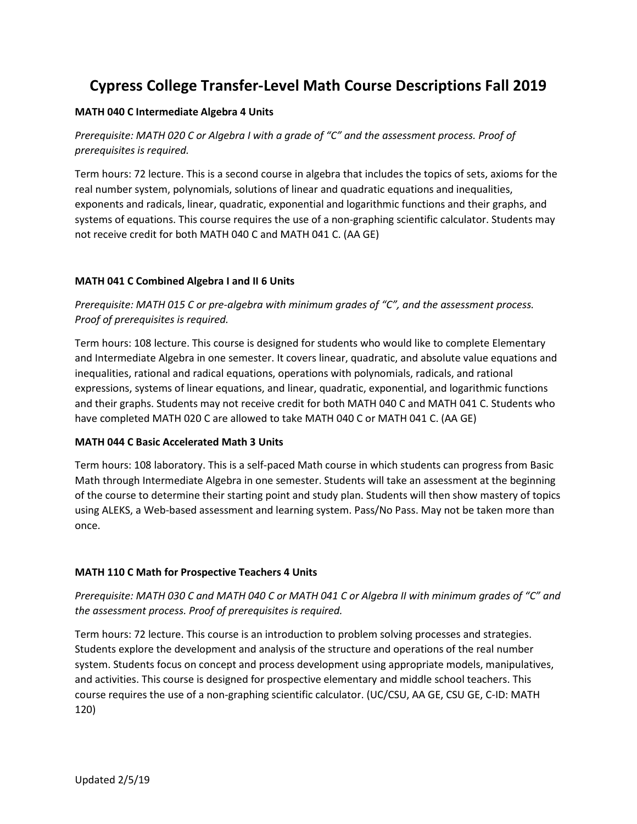# **Cypress College Transfer-Level Math Course Descriptions Fall 2019**

## **MATH 040 C Intermediate Algebra 4 Units**

*Prerequisite: MATH 020 C or Algebra I with a grade of "C" and the assessment process. Proof of prerequisites is required.* 

Term hours: 72 lecture. This is a second course in algebra that includes the topics of sets, axioms for the real number system, polynomials, solutions of linear and quadratic equations and inequalities, exponents and radicals, linear, quadratic, exponential and logarithmic functions and their graphs, and systems of equations. This course requires the use of a non-graphing scientific calculator. Students may not receive credit for both MATH 040 C and MATH 041 C. (AA GE)

# **MATH 041 C Combined Algebra I and II 6 Units**

*Prerequisite: MATH 015 C or pre-algebra with minimum grades of "C", and the assessment process. Proof of prerequisites is required.* 

Term hours: 108 lecture. This course is designed for students who would like to complete Elementary and Intermediate Algebra in one semester. It covers linear, quadratic, and absolute value equations and inequalities, rational and radical equations, operations with polynomials, radicals, and rational expressions, systems of linear equations, and linear, quadratic, exponential, and logarithmic functions and their graphs. Students may not receive credit for both MATH 040 C and MATH 041 C. Students who have completed MATH 020 C are allowed to take MATH 040 C or MATH 041 C. (AA GE)

## **MATH 044 C Basic Accelerated Math 3 Units**

Term hours: 108 laboratory. This is a self-paced Math course in which students can progress from Basic Math through Intermediate Algebra in one semester. Students will take an assessment at the beginning of the course to determine their starting point and study plan. Students will then show mastery of topics using ALEKS, a Web-based assessment and learning system. Pass/No Pass. May not be taken more than once.

# **MATH 110 C Math for Prospective Teachers 4 Units**

*Prerequisite: MATH 030 C and MATH 040 C or MATH 041 C or Algebra II with minimum grades of "C" and the assessment process. Proof of prerequisites is required.* 

Term hours: 72 lecture. This course is an introduction to problem solving processes and strategies. Students explore the development and analysis of the structure and operations of the real number system. Students focus on concept and process development using appropriate models, manipulatives, and activities. This course is designed for prospective elementary and middle school teachers. This course requires the use of a non-graphing scientific calculator. (UC/CSU, AA GE, CSU GE, C-ID: MATH 120)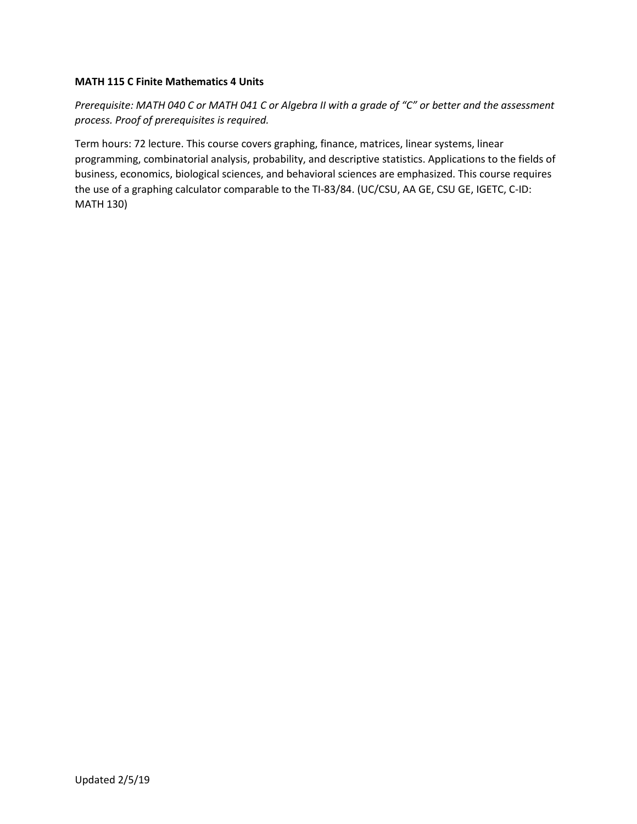## **MATH 115 C Finite Mathematics 4 Units**

*Prerequisite: MATH 040 C or MATH 041 C or Algebra II with a grade of "C" or better and the assessment process. Proof of prerequisites is required.* 

Term hours: 72 lecture. This course covers graphing, finance, matrices, linear systems, linear programming, combinatorial analysis, probability, and descriptive statistics. Applications to the fields of business, economics, biological sciences, and behavioral sciences are emphasized. This course requires the use of a graphing calculator comparable to the TI-83/84. (UC/CSU, AA GE, CSU GE, IGETC, C-ID: MATH 130)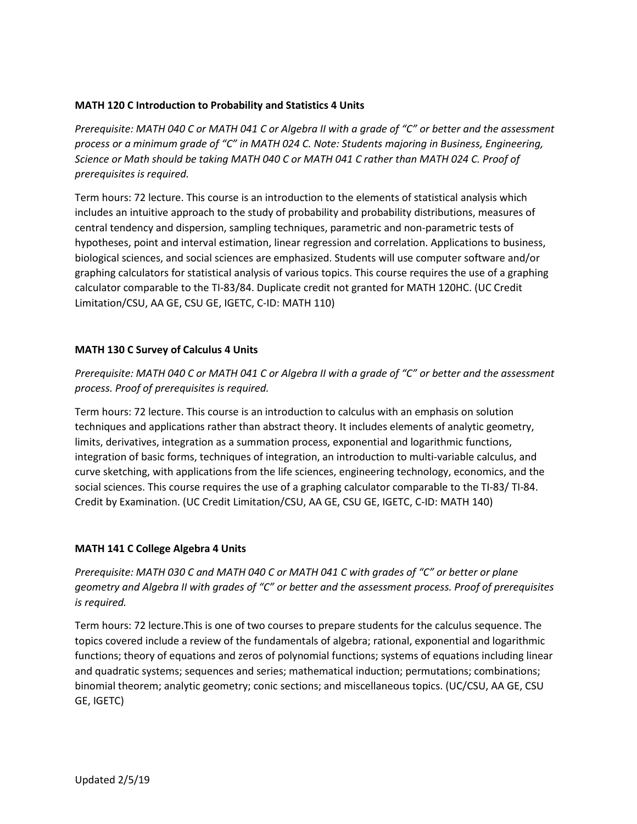# **MATH 120 C Introduction to Probability and Statistics 4 Units**

*Prerequisite: MATH 040 C or MATH 041 C or Algebra II with a grade of "C" or better and the assessment process or a minimum grade of "C" in MATH 024 C. Note: Students majoring in Business, Engineering, Science or Math should be taking MATH 040 C or MATH 041 C rather than MATH 024 C. Proof of prerequisites is required.* 

Term hours: 72 lecture. This course is an introduction to the elements of statistical analysis which includes an intuitive approach to the study of probability and probability distributions, measures of central tendency and dispersion, sampling techniques, parametric and non-parametric tests of hypotheses, point and interval estimation, linear regression and correlation. Applications to business, biological sciences, and social sciences are emphasized. Students will use computer software and/or graphing calculators for statistical analysis of various topics. This course requires the use of a graphing calculator comparable to the TI-83/84. Duplicate credit not granted for MATH 120HC. (UC Credit Limitation/CSU, AA GE, CSU GE, IGETC, C-ID: MATH 110)

# **MATH 130 C Survey of Calculus 4 Units**

*Prerequisite: MATH 040 C or MATH 041 C or Algebra II with a grade of "C" or better and the assessment process. Proof of prerequisites is required.* 

Term hours: 72 lecture. This course is an introduction to calculus with an emphasis on solution techniques and applications rather than abstract theory. It includes elements of analytic geometry, limits, derivatives, integration as a summation process, exponential and logarithmic functions, integration of basic forms, techniques of integration, an introduction to multi-variable calculus, and curve sketching, with applications from the life sciences, engineering technology, economics, and the social sciences. This course requires the use of a graphing calculator comparable to the TI-83/ TI-84. Credit by Examination. (UC Credit Limitation/CSU, AA GE, CSU GE, IGETC, C-ID: MATH 140)

## **MATH 141 C College Algebra 4 Units**

*Prerequisite: MATH 030 C and MATH 040 C or MATH 041 C with grades of "C" or better or plane geometry and Algebra II with grades of "C" or better and the assessment process. Proof of prerequisites is required.* 

Term hours: 72 lecture.This is one of two courses to prepare students for the calculus sequence. The topics covered include a review of the fundamentals of algebra; rational, exponential and logarithmic functions; theory of equations and zeros of polynomial functions; systems of equations including linear and quadratic systems; sequences and series; mathematical induction; permutations; combinations; binomial theorem; analytic geometry; conic sections; and miscellaneous topics. (UC/CSU, AA GE, CSU GE, IGETC)